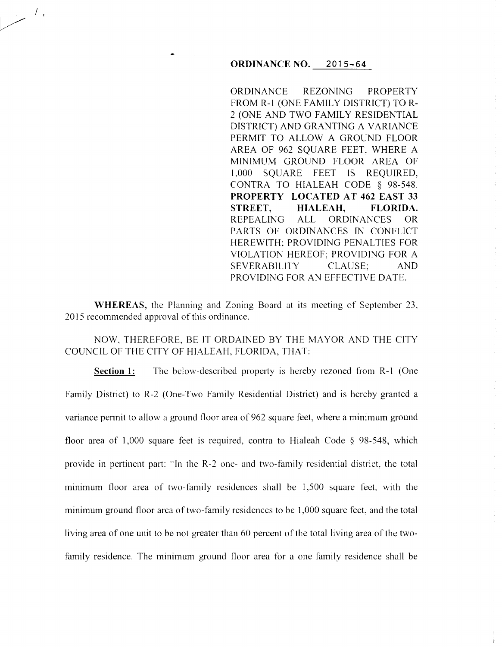## **ORDINANCE NO. 2015-64**

ORDINANCE REZONING PROPERTY FROM R-1 (ONE FAMILY DISTRICT) TOR-2 (ONE AND TWO FAMILY RESIDENTIAL DISTRICT) AND GRANTING A VARIANCE PERMIT TO ALLOW A GROUND FLOOR AREA OF 962 SQUARE FEET, WHERE A MINIMUM GROUND FLOOR AREA OF I ,000 SQUARE FEET IS REQUIRED, CONTRA TO HIALEAH CODE § 98-548. **PROPERTY LOCATED AT 462 EAST 33 STREET, HIALEAH, FLORIDA.**  REPEALING ALL ORDINANCES OR PARTS OF ORDINANCES IN CONFLICT HEREWITH; PROVIDING PENALTIES FOR VIOLATION HEREOF; PROVIDING FOR A SEVERABILITY CLAUSE; AND PROVIDING FOR AN EFFECTIVE DATE.

÷

**WHEREAS,** the Planning and Zoning Board at its meeting of September 23, 2015 recommended approval of this ordinance.

 $\left\langle I\right\rangle _{i}$ 

NOW, THEREFORE, BE IT ORDAINED BY THE MAYOR AND THE CITY COUNCIL OF THE CITY OF HIALEAH, FLORIDA, THAT:

**Section 1:** The below-described property is hereby rezoned from R-1 (One Family District) to R-2 (One-Two Family Residential District) and is hereby granted a variance permit to allow a ground floor area of 962 square feet, where a minimum ground floor area of 1,000 square feet is required, contra to Hialeah Code § 98-548, which provide in pertinent part: "In the R-2 one- and two-family residential district, the total minimum floor area of two-family residences shall be 1,500 square feet, with the minimum ground floor area of two-family residences to be 1,000 square feet, and the total living area of one unit to be not greater than 60 percent of the total living area of the twofamily residence. The minimum ground floor area for a one-family residence shall be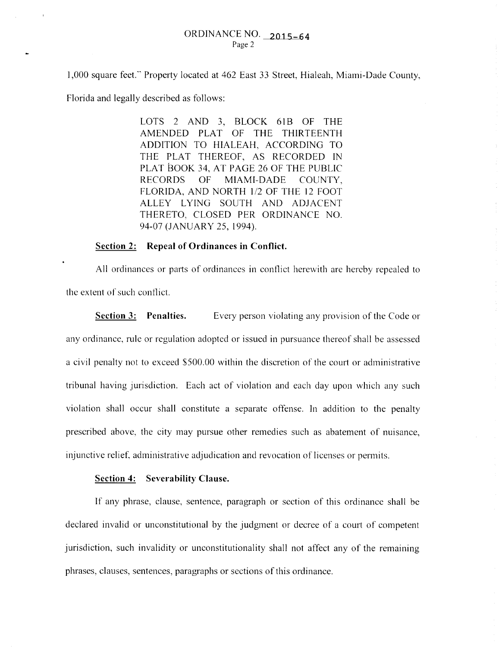I ,000 square feet." Property located at 462 East 33 Street, Hialeah, Miami-Dade County,

Florida and legally described as follows:

LOTS 2 AND 3, BLOCK 61B OF THE AMENDED PLAT OF THE THIRTEENTH ADDITION TO HIALEAH, ACCORDING TO THE PLAT THEREOF, AS RECORDED IN PLAT BOOK 34, AT PAGE 26 OF THE PUBLIC RECORDS OF MIAMI-DADE COUNTY, FLORIDA, AND NORTH 1/2 OF THE 12 FOOT ALLEY LYING SOUTH AND ADJACENT THERETO, CLOSED PER ORDINANCE NO. 94-07 (JANUARY 25, 1994).

## **Section 2: Repeal of Ordinances in Conflict.**

All ordinances or parts of ordinances in conflict herewith are hereby repealed to the extent of such conflict.

**Section 3: Penalties.** Every person violating any provision of the Code or any ordinance, rule or regulation adopted or issued in pursuance thereof shall be assessed a civil penalty not to exceed \$500.00 within the discretion of the court or administrative tribunal having jurisdiction. Each act of violation and each day upon which any such violation shall occur shall constitute a separate offense. In addition to the penalty prescribed above, the city may pursue other remedies such as abatement of nuisance, injunctive relief, administrative adjudication and revocation of licenses or permits.

## **Section 4: Severability Clause.**

If any phrase, clause, sentence, paragraph or section of this ordinance shall be declared invalid or unconstitutional by the judgment or decree of a court of competent jurisdiction, such invalidity or unconstitutionality shall not affect any of the remaining phrases, clauses, sentences, paragraphs or sections of this ordinance.